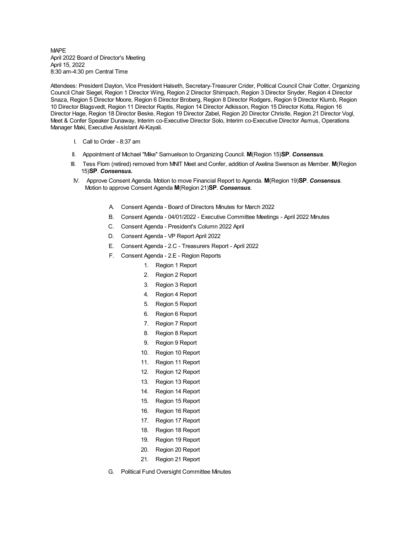## MAPE April 2022 Board of Director's Meeting April 15, 2022 8:30 am-4:30 pm Central Time

Attendees: President Dayton, Vice President Halseth, Secretary-Treasurer Crider, Political Council Chair Cotter, Organizing Council Chair Siegel, Region 1 Director Wing, Region 2 Director Shimpach, Region 3 Director Snyder, Region 4 Director Snaza, Region 5 Director Moore, Region 6 Director Broberg, Region 8 Director Rodgers, Region 9 Director Klumb, Region 10 Director Blagsvedt, Region 11 Director Raptis, Region 14 Director Adkisson, Region 15 Director Kotta, Region 16 Director Hage, Region 18 Director Beske, Region 19 Director Zabel, Region 20 Director Christle, Region 21 Director Vogl, Meet & Confer Speaker Dunaway, Interim co-Executive Director Solo, Interim co-Executive Director Asmus, Operations Manager Maki, Executive Assistant Al-Kayali.

- I. Call to Order 8:37 am
- II. Appointment of Michael "Mike" Samuelson to Organizing Council. **M**(Region 15)**SP**. *Consensus*.
- III. Tess Flom (retired) removed from MNIT Meet and Confer, addition of Axelina Swenson as Member. **M**(Region 15)**SP**. *Consensus.*
- IV. Approve Consent Agenda. Motion to move Financial Report to Agenda. **M**(Region 19)**SP**. *Consensus*. Motion to approve Consent Agenda **M**(Region 21)**SP**. *Consensus*.
	- A. Consent Agenda Board of Directors Minutes for March 2022
	- B. Consent Agenda 04/01/2022 Executive Committee Meetings April 2022 Minutes
	- C. Consent Agenda President's Column 2022 April
	- D. Consent Agenda VP Report April 2022
	- E. Consent Agenda 2.C Treasurers Report April 2022
	- F. Consent Agenda 2.E Region Reports
		- 1. Region 1 Report
		- 2. Region 2 Report
		- 3. Region 3 Report
		- 4. Region 4 Report
		- 5. Region 5 Report
		- 6. Region 6 Report
		- 7. Region 7 Report
		- 8. Region 8 Report
		- 9. Region 9 Report
		- 10. Region 10 Report
		- 11. Region 11 Report
		- 12. Region 12 Report
		- 13. Region 13 Report
		- 14. Region 14 Report
		- 15. Region 15 Report
		- 16. Region 16 Report
		- 17. Region 17 Report
		- 18. Region 18 Report
		- 19. Region 19 Report
		- 20. Region 20 Report
		- 21. Region 21 Report
	- G. Political Fund Oversight Committee Minutes